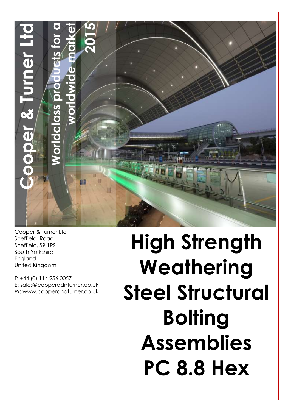

Cooper & Turner Ltd Sheffield Road Sheffield, S9 1RS South Yorkshire England United Kingdom

T: +44 (0) 114 256 0057 E: sales@cooperadnturner.co.uk W: www.cooperandturner.co.uk

**High Strength Weathering Steel Structural Bolting Assemblies PC 8.8 Hex**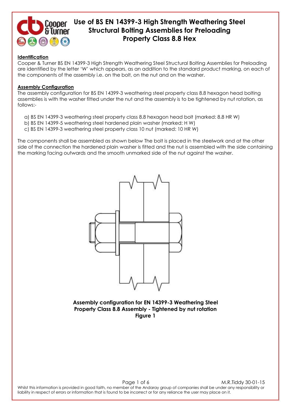

### **Identification**

Cooper & Turner BS EN 14399-3 High Strength Weathering Steel Structural Bolting Assemblies for Preloading are identified by the letter 'W' which appears, as an addition to the standard product marking, on each of the components of the assembly i.e. on the bolt, on the nut and on the washer.

#### **Assembly Configuration**

The assembly configuration for BS EN 14399-3 weathering steel property class 8.8 hexagon head bolting assemblies is with the washer fitted under the nut and the assembly is to be tightened by nut rotation, as follows:-

- a) BS EN 14399-3 weathering steel property class 8.8 hexagon head bolt (marked: 8.8 HR W)
- b) BS EN 14399-5 weathering steel hardened plain washer (marked: H W)
- c) BS EN 14399-3 weathering steel property class 10 nut (marked: 10 HR W)

The components shall be assembled as shown below The bolt is placed in the steelwork and at the other side of the connection the hardened plain washer is fitted and the nut is assembled with the side containing the marking facing outwards and the smooth unmarked side of the nut against the washer.



**Assembly configuration for EN 14399-3 Weathering Steel Property Class 8.8 Assembly - Tightened by nut rotation Figure 1**

Page 1 of 6 M.R.Tiddy 30-01-15 Whilst this information is provided in good faith, no member of the Andaray group of companies shall be under any responsibility or liability in respect of errors or information that is found to be incorrect or for any reliance the user may place on it.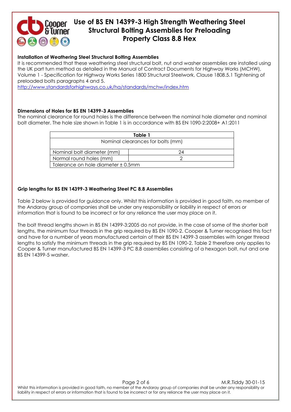

### **Installation of Weathering Steel Structural Bolting Assemblies**

It is recommended that these weathering steel structural bolt, nut and washer assemblies are installed using the UK part turn method as detailed in the Manual of Contract Documents for Highway Works (MCHW), Volume 1 - Specification for Highway Works Series 1800 Structural Steelwork, Clause 1808.5.1 Tightening of preloaded bolts paragraphs 4 and 5.

<http://www.standardsforhighways.co.uk/ha/standards/mchw/index.htm>

### **Dimensions of Holes for BS EN 14399-3 Assemblies**

The nominal clearance for round holes is the difference between the nominal hole diameter and nominal bolt diameter. The hole size shown in Table 1 is in accordance with BS EN 1090-2:2008+ A1:2011

| Table 1                            |    |
|------------------------------------|----|
| Nominal clearances for bolts (mm)  |    |
| Nominal bolt diameter (mm)         | 24 |
| Normal round holes (mm)            |    |
| Tolerance on hole diameter ± 0.5mm |    |

### **Grip lengths for BS EN 14399-3 Weathering Steel PC 8.8 Assemblies**

Table 2 below is provided for guidance only. Whilst this information is provided in good faith, no member of the Andaray group of companies shall be under any responsibility or liability in respect of errors or information that is found to be incorrect or for any reliance the user may place on it.

The bolt thread lengths shown in BS EN 14399-3:2005 do not provide, in the case of some of the shorter bolt lengths, the minimum four threads in the grip required by BS EN 1090-2. Cooper & Turner recognised this fact and have for a number of years manufactured certain of their BS EN 14399-3 assemblies with longer thread lengths to satisfy the minimum threads in the grip required by BS EN 1090-2. Table 2 therefore only applies to Cooper & Turner manufactured BS EN 14399-3 PC 8.8 assemblies consisting of a hexagon bolt, nut and one BS EN 14399-5 washer.

Page 2 of 6 M.R.Tiddy 30-01-15 Whilst this information is provided in good faith, no member of the Andaray group of companies shall be under any responsibility or liability in respect of errors or information that is found to be incorrect or for any reliance the user may place on it.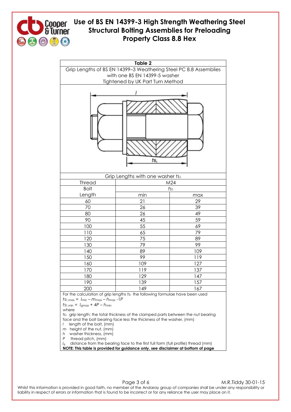



Page 3 of 6 M.R.Tiddy 30-01-15 Whilst this information is provided in good faith, no member of the Andaray group of companies shall be under any responsibility or liability in respect of errors or information that is found to be incorrect or for any reliance the user may place on it.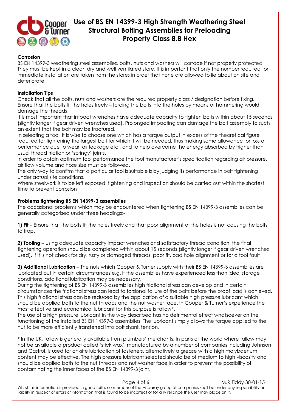

### **Corrosion**

BS EN 14399-3 weathering steel assemblies, bolts, nuts and washers will corrode if not properly protected. They must be kept in a clean dry and well ventilated store. It is important that only the number required for immediate installation are taken from the stores in order that none are allowed to lie about on site and deteriorate.

### **Installation Tips**

Check that all the bolts, nuts and washers are the required property class / designation before fixing. Ensure that the bolts fit the holes freely – forcing the bolts into the holes by means of hammering would damage the threads

It is most important that impact wrenches have adequate capacity to tighten bolts within about 15 seconds (slightly longer if gear driven wrenches used). Prolonged impacting can damage the bolt assembly to such an extent that the bolt may be fractured.

In selecting a tool, it is wise to choose one which has a torque output in excess of the theoretical figure required for tightening the largest bolt for which it will be needed, thus making some allowance for loss of performance due to wear, air leakage etc., and to help overcome the energy absorbed by higher than usual thread friction or 'springy' joints.

In order to obtain optimum tool performance the tool manufacturer's specification regarding air pressure, air flow volume and hose size must be followed.

The only way to confirm that a particular tool is suitable is by judging its performance in bolt tightening under actual site conditions.

Where steelwork is to be left exposed, tightening and inspection should be carried out within the shortest time to prevent corrosion

### **Problems tightening BS EN 14399-3 assemblies**

The occasional problems which may be encountered when tightening BS EN 14399-3 assemblies can be generally categorised under three headings:-

**1) Fit** – Ensure that the bolts fit the holes freely and that poor alignment of the holes is not causing the bolts to trap.

**2) Tooling** – Using adequate capacity impact wrenches and satisfactory thread condition, the final tightening operation should be completed within about 15 seconds (slightly longer if gear driven wrenches used). If it is not check for dry, rusty or damaged threads, poor fit, bad hole alignment or for a tool fault

**3) Additional Lubrication** – The nuts which Cooper & Turner supply with their BS EN 14399-3 assemblies are lubricated but in certain circumstances e.g. if the assemblies have experienced less than ideal storage conditions, additional lubrication may be necessary.

During the tightening of BS EN 14399-3 assemblies high frictional stress can develop and in certain circumstances the frictional stress can lead to torsional failure of the bolts before the proof load is achieved. This high frictional stress can be reduced by the application of a suitable high pressure lubricant which should be applied both to the nut threads and the nut washer face. In Cooper & Turner's experience the most effective and economical lubricant for this purpose is tallow\*.

The use of a high pressure lubricant in the way described has no detrimental effect whatsoever on the functioning of the installed BS EN 14399-3 assemblies. The lubricant simply allows the torque applied to the nut to be more efficiently transferred into bolt shank tension.

\* In the UK, tallow is generally available from plumbers' merchants. In parts of the world where tallow may not be available a product called 'stick wax', manufactured by a number of companies including Johnson and Castrol, is used for on-site lubrication of fasteners, alternatively a grease with a high molybdenum content may be effective. The high pressure lubricant selected should be of medium to high viscosity and should be applied both to the nut threads and nut washer face in order to prevent the possibility of contaminating the inner faces of the BS EN 14399-3 joint.

Page 4 of 6 M.R.Tiddy 30-01-15 Whilst this information is provided in good faith, no member of the Andaray group of companies shall be under any responsibility or liability in respect of errors or information that is found to be incorrect or for any reliance the user may place on it.